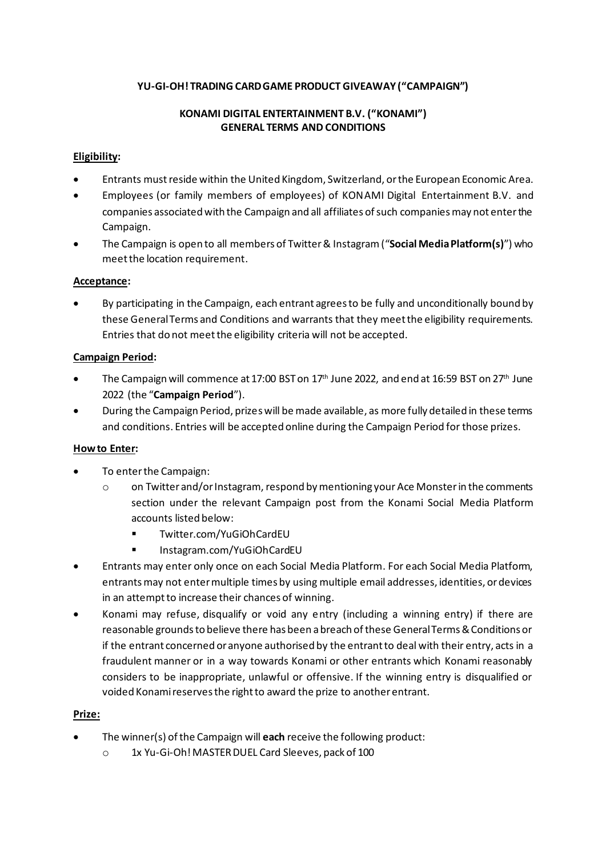## **YU-GI-OH! TRADING CARD GAME PRODUCT GIVEAWAY ("CAMPAIGN")**

#### **KONAMI DIGITAL ENTERTAINMENT B.V. ("KONAMI") GENERAL TERMS AND CONDITIONS**

#### **Eligibility:**

- Entrants must reside within the United Kingdom, Switzerland, orthe European Economic Area.
- Employees (or family members of employees) of KONAMI Digital Entertainment B.V. and companies associated with the Campaign and all affiliates of such companies may not enter the Campaign.
- The Campaign is open to all members of Twitter& Instagram("**Social Media Platform(s)**") who meet the location requirement.

#### **Acceptance:**

• By participating in the Campaign, each entrant agrees to be fully and unconditionally bound by these General Terms and Conditions and warrants that they meet the eligibility requirements. Entries that do not meet the eligibility criteria will not be accepted.

#### **Campaign Period:**

- The Campaign will commence at 17:00 BST on  $17<sup>th</sup>$  June 2022, and end at 16:59 BST on 27<sup>th</sup> June 2022 (the "**Campaign Period**").
- During the Campaign Period, prizes will be made available, as more fully detailed in these terms and conditions. Entries will be accepted online during the Campaign Period for those prizes.

#### **How to Enter:**

- To enter the Campaign:
	- o on Twitter and/or Instagram, respond by mentioning your Ace Monsterin the comments section under the relevant Campaign post from the Konami Social Media Platform accounts listed below:
		- [Twitter.com/YuGiOhCardEU](https://twitter.com/YuGiOhTCGEU)
		- Instagram.com/YuGiOhCardEU
- Entrants may enter only once on each Social Media Platform. For each Social Media Platform, entrants may not enter multiple times by using multiple email addresses, identities, or devices in an attempt to increase their chances of winning.
- Konami may refuse, disqualify or void any entry (including a winning entry) if there are reasonable grounds to believe there has been a breach of these General Terms & Conditions or if the entrant concerned or anyone authorised by the entrant to deal with their entry, acts in a fraudulent manner or in a way towards Konami or other entrants which Konami reasonably considers to be inappropriate, unlawful or offensive. If the winning entry is disqualified or voided Konami reserves the right to award the prize to another entrant.

#### **Prize:**

- The winner(s) of the Campaign will **each** receive the following product:
	- o 1x Yu-Gi-Oh! MASTER DUEL Card Sleeves, pack of 100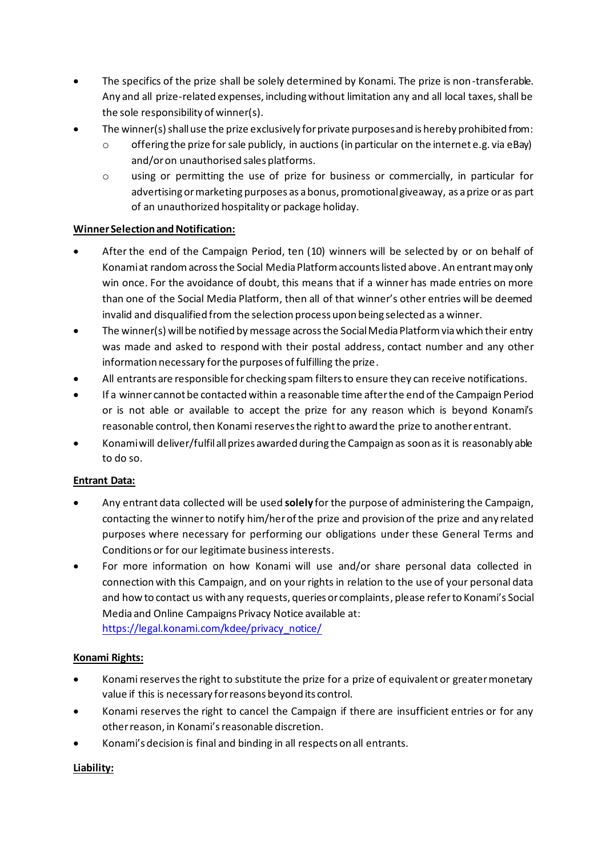- The specifics of the prize shall be solely determined by Konami. The prize is non-transferable. Any and all prize-related expenses, including without limitation any and all local taxes, shall be the sole responsibility of winner(s).
- The winner(s) shall use the prize exclusively for private purposes and is hereby prohibited from:
	- $\circ$  offering the prize for sale publicly, in auctions (in particular on the internet e.g. via eBay) and/or on unauthorised sales platforms.
	- o using or permitting the use of prize for business or commercially, in particular for advertising or marketing purposes as a bonus, promotional giveaway, as a prize or as part of an unauthorized hospitality or package holiday.

## **Winner Selection and Notification:**

- After the end of the Campaign Period, ten (10) winners will be selected by or on behalf of Konami at randomacross the Social Media Platform accounts listed above. An entrant may only win once. For the avoidance of doubt, this means that if a winner has made entries on more than one of the Social Media Platform, then all of that winner's other entries will be deemed invalid and disqualified from the selection process upon being selected as a winner.
- The winner(s) will be notified by message across the Social Media Platform via which their entry was made and asked to respond with their postal address, contact number and any other information necessary for the purposes of fulfilling the prize.
- All entrants are responsible for checking spam filters to ensure they can receive notifications.
- If a winner cannot be contacted within a reasonable time after the end of the Campaign Period or is not able or available to accept the prize for any reason which is beyond Konami's reasonable control, then Konami reserves the right to award the prize to another entrant.
- Konami will deliver/fulfilall prizes awarded during the Campaign as soon as it is reasonably able to do so.

## **Entrant Data:**

- Any entrant data collected will be used **solely** for the purpose of administering the Campaign, contacting the winner to notify him/her of the prize and provision of the prize and any related purposes where necessary for performing our obligations under these General Terms and Conditions or for our legitimate business interests.
- For more information on how Konami will use and/or share personal data collected in connection with this Campaign, and on your rights in relation to the use of your personal data and how to contact us with any requests, queries or complaints, please refer to Konami's Social Media and Online Campaigns Privacy Notice available at: [https://legal.konami.com/kdee/privacy\\_notice/](https://legal.konami.com/kdee/privacy_notice/)

## **Konami Rights:**

- Konami reserves the right to substitute the prize for a prize of equivalent or greater monetary value if this is necessary for reasons beyond its control.
- Konami reserves the right to cancel the Campaign if there are insufficient entries or for any other reason, in Konami'sreasonable discretion.
- Konami's decision is final and binding in all respects on all entrants.

## **Liability:**